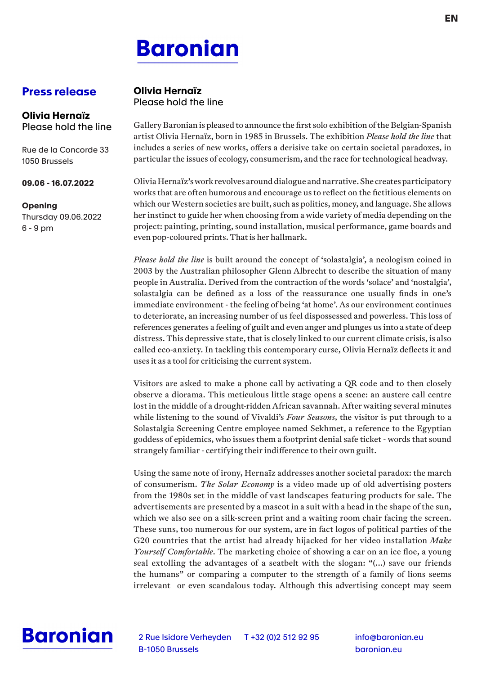# **Baronian**

## **Press release**

#### **Olivia Hernaïz** Please hold the line

Rue de la Concorde 33 1050 Brussels

#### **09.06 - 16.07.2022**

#### **Opening**

Thursday 09.06.2022 6 - 9 pm

### **Olivia Hernaïz** Please hold the line

Gallery Baronian is pleased to announce the first solo exhibition of the Belgian-Spanish artist Olivia Hernaïz, born in 1985 in Brussels. The exhibition *Please hold the line* that includes a series of new works, offers a derisive take on certain societal paradoxes, in particular the issues of ecology, consumerism, and the race for technological headway.

Olivia Hernaïz's work revolves around dialogue and narrative. She creates participatory works that are often humorous and encourage us to reflect on the fictitious elements on which our Western societies are built, such as politics, money, and language. She allows her instinct to guide her when choosing from a wide variety of media depending on the project: painting, printing, sound installation, musical performance, game boards and even pop-coloured prints. That is her hallmark.

*Please hold the line* is built around the concept of 'solastalgia', a neologism coined in 2003 by the Australian philosopher Glenn Albrecht to describe the situation of many people in Australia. Derived from the contraction of the words 'solace' and 'nostalgia', solastalgia can be defined as a loss of the reassurance one usually finds in one's immediate environment - the feeling of being 'at home'. As our environment continues to deteriorate, an increasing number of us feel dispossessed and powerless. This loss of references generates a feeling of guilt and even anger and plunges us into a state of deep distress. This depressive state, that is closely linked to our current climate crisis, is also called eco-anxiety. In tackling this contemporary curse, Olivia Hernaïz deflects it and uses it as a tool for criticising the current system.

Visitors are asked to make a phone call by activating a QR code and to then closely observe a diorama. This meticulous little stage opens a scene: an austere call centre lost in the middle of a drought-ridden African savannah. After waiting several minutes while listening to the sound of Vivaldi's *Four Seasons*, the visitor is put through to a Solastalgia Screening Centre employee named Sekhmet, a reference to the Egyptian goddess of epidemics, who issues them a footprint denial safe ticket - words that sound strangely familiar - certifying their indifference to their own guilt.

Using the same note of irony, Hernaïz addresses another societal paradox: the march of consumerism. *The Solar Economy* is a video made up of old advertising posters from the 1980s set in the middle of vast landscapes featuring products for sale. The advertisements are presented by a mascot in a suit with a head in the shape of the sun, which we also see on a silk-screen print and a waiting room chair facing the screen. These suns, too numerous for our system, are in fact logos of political parties of the G20 countries that the artist had already hijacked for her video installation *Make Yourself Comfortable*. The marketing choice of showing a car on an ice floe, a young seal extolling the advantages of a seatbelt with the slogan: "(...) save our friends the humans" or comparing a computer to the strength of a family of lions seems irrelevant or even scandalous today. Although this advertising concept may seem



2 Rue Isidore Verheyden T +32 (0)2 512 92 95 B-1050 Brussels

info@baronian.eu baronian.eu